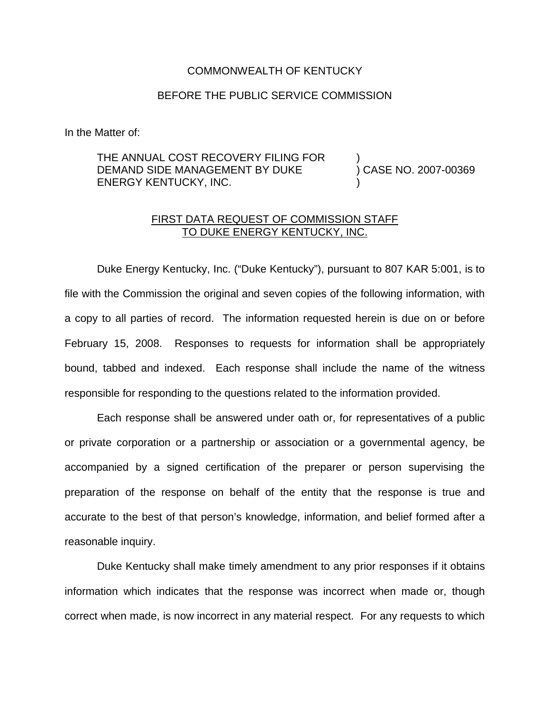## COMMONWEALTH OF KENTUCKY

## BEFORE THE PUBLIC SERVICE COMMISSION

In the Matter of:

## THE ANNUAL COST RECOVERY FILING FOR DEMAND SIDE MANAGEMENT BY DUKE ENERGY KENTUCKY, INC. ) ) CASE NO. 2007-00369 )

## FIRST DATA REQUEST OF COMMISSION STAFF TO DUKE ENERGY KENTUCKY, INC.

Duke Energy Kentucky, Inc. ("Duke Kentucky"), pursuant to 807 KAR 5:001, is to file with the Commission the original and seven copies of the following information, with a copy to all parties of record. The information requested herein is due on or before February 15, 2008. Responses to requests for information shall be appropriately bound, tabbed and indexed. Each response shall include the name of the witness responsible for responding to the questions related to the information provided.

Each response shall be answered under oath or, for representatives of a public or private corporation or a partnership or association or a governmental agency, be accompanied by a signed certification of the preparer or person supervising the preparation of the response on behalf of the entity that the response is true and accurate to the best of that person's knowledge, information, and belief formed after a reasonable inquiry.

Duke Kentucky shall make timely amendment to any prior responses if it obtains information which indicates that the response was incorrect when made or, though correct when made, is now incorrect in any material respect. For any requests to which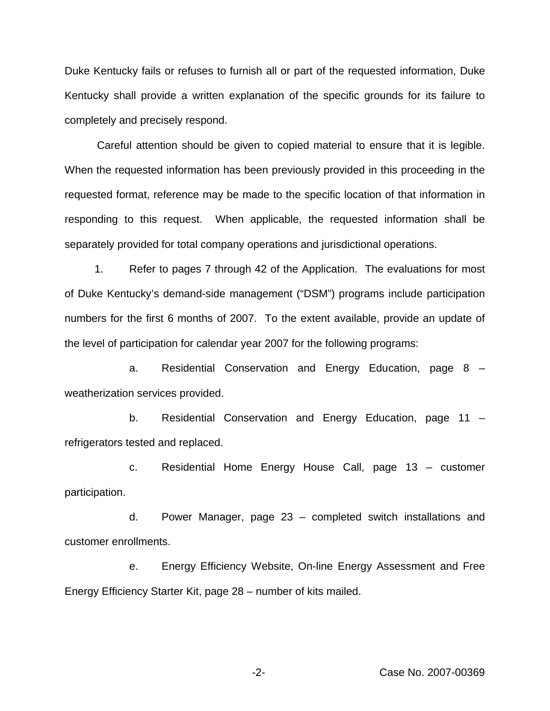Duke Kentucky fails or refuses to furnish all or part of the requested information, Duke Kentucky shall provide a written explanation of the specific grounds for its failure to completely and precisely respond.

Careful attention should be given to copied material to ensure that it is legible. When the requested information has been previously provided in this proceeding in the requested format, reference may be made to the specific location of that information in responding to this request. When applicable, the requested information shall be separately provided for total company operations and jurisdictional operations.

1. Refer to pages 7 through 42 of the Application. The evaluations for most of Duke Kentucky's demand-side management ("DSM") programs include participation numbers for the first 6 months of 2007. To the extent available, provide an update of the level of participation for calendar year 2007 for the following programs:

a. Residential Conservation and Energy Education, page 8 – weatherization services provided.

b. Residential Conservation and Energy Education, page 11 – refrigerators tested and replaced.

c. Residential Home Energy House Call, page 13 – customer participation.

d. Power Manager, page 23 – completed switch installations and customer enrollments.

e. Energy Efficiency Website, On-line Energy Assessment and Free Energy Efficiency Starter Kit, page 28 – number of kits mailed.

-2- Case No. 2007-00369